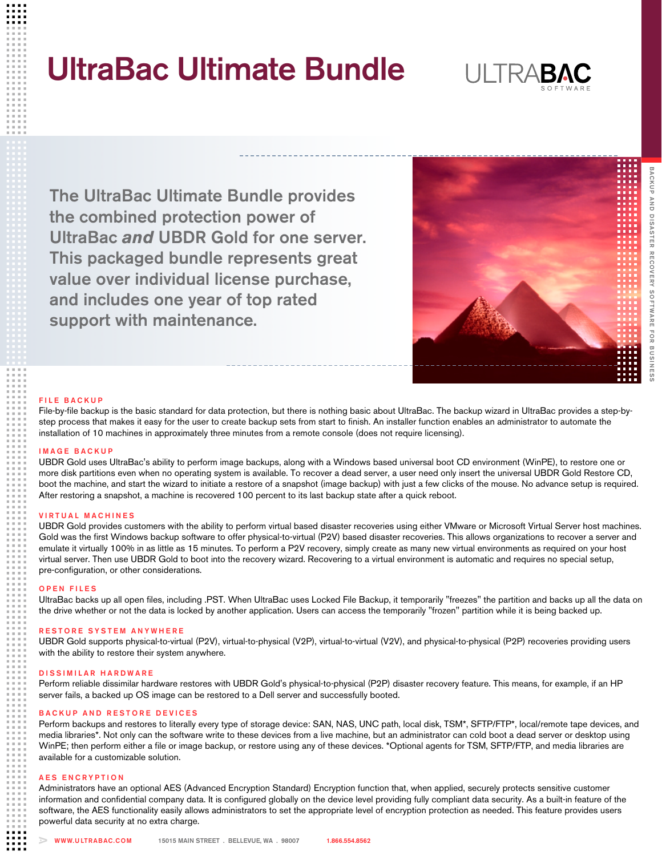# UltraBac Ultimate Bundle



The UltraBac Ultimate Bundle provides the combined protection power of UltraBac *and* UBDR Gold for one server. This packaged bundle represents great value over individual license purchase, and includes one year of top rated support with maintenance.



## FILE BACKUP

File-by-file backup is the basic standard for data protection, but there is nothing basic about UltraBac. The backup wizard in UltraBac provides a step-bystep process that makes it easy for the user to create backup sets from start to finish. An installer function enables an administrator to automate the installation of 10 machines in approximately three minutes from a remote console (does not require licensing).

## I M A G E B A C K U P

UBDR Gold uses UltraBac's ability to perform image backups, along with a Windows based universal boot CD environment (WinPE), to restore one or more disk partitions even when no operating system is available. To recover a dead server, a user need only insert the universal UBDR Gold Restore CD, boot the machine, and start the wizard to initiate a restore of a snapshot (image backup) with just a few clicks of the mouse. No advance setup is required. After restoring a snapshot, a machine is recovered 100 percent to its last backup state after a quick reboot.

## **VIRTUAL MACHINES**

UBDR Gold provides customers with the ability to perform virtual based disaster recoveries using either VMware or Microsoft Virtual Server host machines. Gold was the first Windows backup software to offer physical-to-virtual (P2V) based disaster recoveries. This allows organizations to recover a server and emulate it virtually 100% in as little as 15 minutes. To perform a P2V recovery, simply create as many new virtual environments as required on your host virtual server. Then use UBDR Gold to boot into the recovery wizard. Recovering to a virtual environment is automatic and requires no special setup, pre-configuration, or other considerations.

## OPEN FILES

UltraBac backs up all open files, including .PST. When UltraBac uses Locked File Backup, it temporarily "freezes" the partition and backs up all the data on the drive whether or not the data is locked by another application. Users can access the temporarily "frozen" partition while it is being backed up.

## RESTORE SYSTEM ANYWHERE

UBDR Gold supports physical-to-virtual (P2V), virtual-to-physical (V2P), virtual-to-virtual (V2V), and physical-to-physical (P2P) recoveries providing users with the ability to restore their system anywhere.

### DISSIMILAR HARDWARE

Perform reliable dissimilar hardware restores with UBDR Gold's physical-to-physical (P2P) disaster recovery feature. This means, for example, if an HP server fails, a backed up OS image can be restored to a Dell server and successfully booted.

# BACKUP AND RESTORE DEVICES

Perform backups and restores to literally every type of storage device: SAN, NAS, UNC path, local disk, TSM\*, SFTP/FTP\*, local/remote tape devices, and media libraries\*. Not only can the software write to these devices from a live machine, but an administrator can cold boot a dead server or desktop using WinPE; then perform either a file or image backup, or restore using any of these devices. \*Optional agents for TSM, SFTP/FTP, and media libraries are available for a customizable solution.

### AES ENCRYPTION

Administrators have an optional AES (Advanced Encryption Standard) Encryption function that, when applied, securely protects sensitive customer information and confidential company data. It is configured globally on the device level providing fully compliant data security. As a built-in feature of the software, the AES functionality easily allows administrators to set the appropriate level of encryption protection as needed. This feature provides users powerful data security at no extra charge.